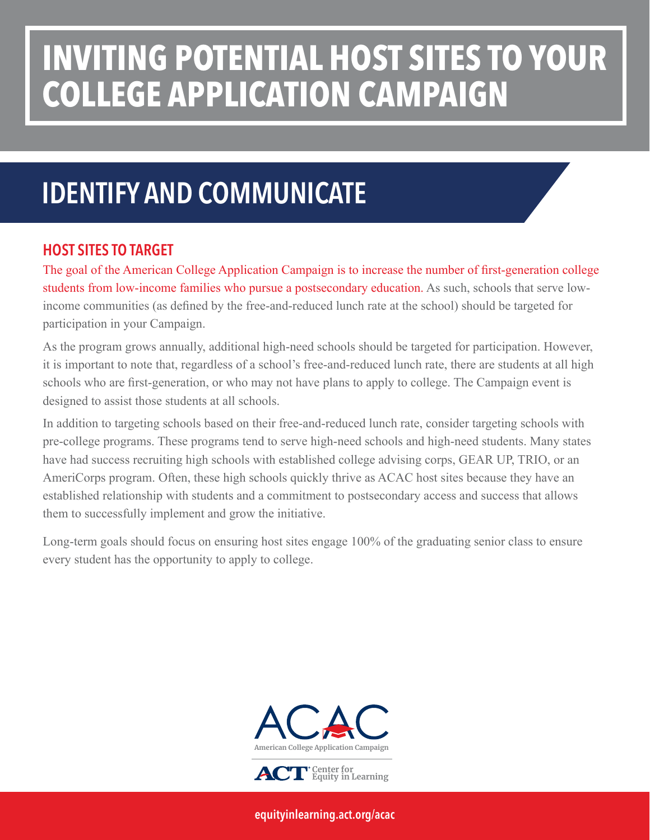# **INVITING POTENTIAL HOST SITES TO YOUR COLLEGE APPLICATION CAMPAIGN**

### IDENTIFY AND COMMUNICATE

#### HOST SITES TO TARGET

The goal of the American College Application Campaign is to increase the number of first-generation college students from low-income families who pursue a postsecondary education. As such, schools that serve lowincome communities (as defined by the free-and-reduced lunch rate at the school) should be targeted for participation in your Campaign.

As the program grows annually, additional high-need schools should be targeted for participation. However, it is important to note that, regardless of a school's free-and-reduced lunch rate, there are students at all high schools who are first-generation, or who may not have plans to apply to college. The Campaign event is designed to assist those students at all schools.

In addition to targeting schools based on their free-and-reduced lunch rate, consider targeting schools with pre-college programs. These programs tend to serve high-need schools and high-need students. Many states have had success recruiting high schools with established college advising corps, GEAR UP, TRIO, or an AmeriCorps program. Often, these high schools quickly thrive as ACAC host sites because they have an established relationship with students and a commitment to postsecondary access and success that allows them to successfully implement and grow the initiative.

Long-term goals should focus on ensuring host sites engage 100% of the graduating senior class to ensure every student has the opportunity to apply to college.



[equityinlearning.act.org/acac](https://equityinlearning.act.org/acac)